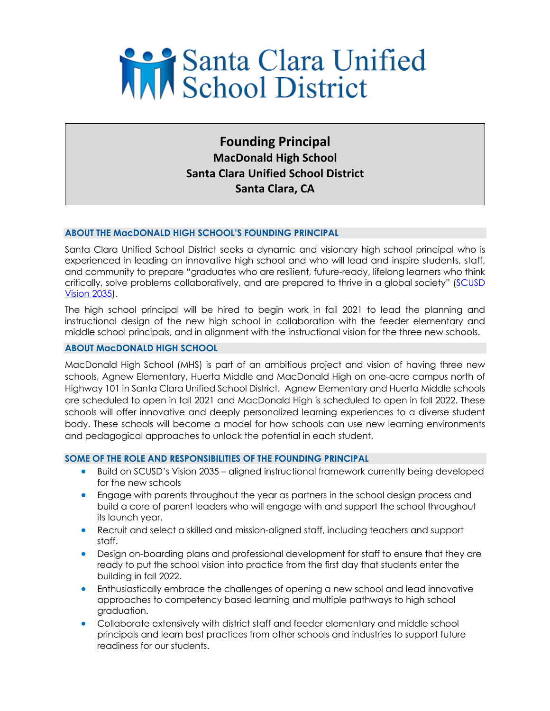# Santa Clara Unified

**Founding Principal MacDonald High School Santa Clara Unified School District Santa Clara, CA**

# **ABOUT THE MacDONALD HIGH SCHOOL'S FOUNDING PRINCIPAL**

Santa Clara Unified School District seeks a dynamic and visionary high school principal who is experienced in leading an innovative high school and who will lead and inspire students, staff, and community to prepare "graduates who are resilient, future-ready, lifelong learners who think critically, solve problems collaboratively, and are prepared to thrive in a global society" (SCUSD Vision 2035).

The high school principal will be hired to begin work in fall 2021 to lead the planning and instructional design of the new high school in collaboration with the feeder elementary and middle school principals, and in alignment with the instructional vision for the three new schools.

## **ABOUT MacDONALD HIGH SCHOOL**

MacDonald High School (MHS) is part of an ambitious project and vision of having three new schools, Agnew Elementary, Huerta Middle and MacDonald High on one-acre campus north of Highway 101 in Santa Clara Unified School District. Agnew Elementary and Huerta Middle schools are scheduled to open in fall 2021 and MacDonald High is scheduled to open in fall 2022. These schools will offer innovative and deeply personalized learning experiences to a diverse student body. These schools will become a model for how schools can use new learning environments and pedagogical approaches to unlock the potential in each student.

## **SOME OF THE ROLE AND RESPONSIBILITIES OF THE FOUNDING PRINCIPAL**

- Build on SCUSD's Vision 2035 aligned instructional framework currently being developed for the new schools
- Engage with parents throughout the year as partners in the school design process and build a core of parent leaders who will engage with and support the school throughout its launch year.
- Recruit and select a skilled and mission-aligned staff, including teachers and support staff.
- Design on-boarding plans and professional development for staff to ensure that they are ready to put the school vision into practice from the first day that students enter the building in fall 2022.
- Enthusiastically embrace the challenges of opening a new school and lead innovative approaches to competency based learning and multiple pathways to high school graduation.
- Collaborate extensively with district staff and feeder elementary and middle school principals and learn best practices from other schools and industries to support future readiness for our students.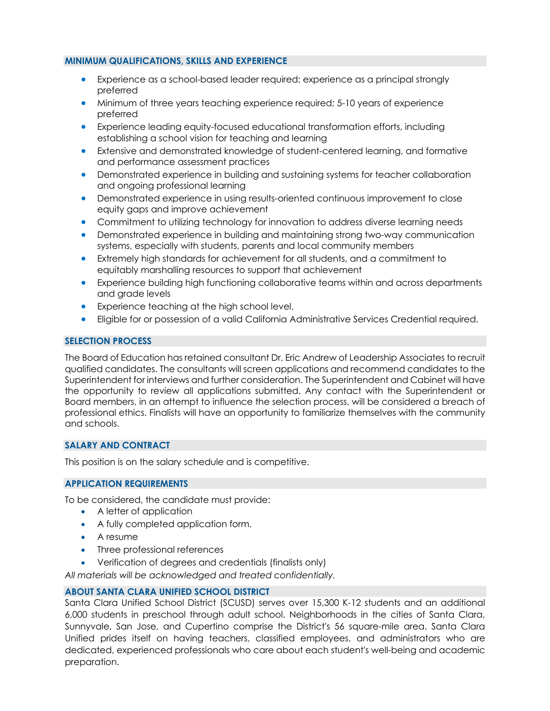# **MINIMUM QUALIFICATIONS, SKILLS AND EXPERIENCE**

- Experience as a school-based leader required; experience as a principal strongly preferred
- Minimum of three years teaching experience required; 5-10 years of experience preferred
- Experience leading equity-focused educational transformation efforts, including establishing a school vision for teaching and learning
- Extensive and demonstrated knowledge of student-centered learning, and formative and performance assessment practices
- Demonstrated experience in building and sustaining systems for teacher collaboration and ongoing professional learning
- Demonstrated experience in using results-oriented continuous improvement to close equity gaps and improve achievement
- Commitment to utilizing technology for innovation to address diverse learning needs
- Demonstrated experience in building and maintaining strong two-way communication systems, especially with students, parents and local community members
- Extremely high standards for achievement for all students, and a commitment to equitably marshalling resources to support that achievement
- Experience building high functioning collaborative teams within and across departments and grade levels
- Experience teaching at the high school level.
- Eligible for or possession of a valid California Administrative Services Credential required.

## **SELECTION PROCESS**

The Board of Education has retained consultant Dr. Eric Andrew of Leadership Associates to recruit qualified candidates. The consultants will screen applications and recommend candidates to the Superintendent for interviews and further consideration. The Superintendent and Cabinet will have the opportunity to review all applications submitted. Any contact with the Superintendent or Board members, in an attempt to influence the selection process, will be considered a breach of professional ethics. Finalists will have an opportunity to familiarize themselves with the community and schools.

## **SALARY AND CONTRACT**

This position is on the salary schedule and is competitive.

## **APPLICATION REQUIREMENTS**

To be considered, the candidate must provide:

- A letter of application
- A fully completed application form.
- A resume
- Three professional references
- Verification of degrees and credentials (finalists only)

*All materials will be acknowledged and treated confidentially.*

## **ABOUT SANTA CLARA UNIFIED SCHOOL DISTRICT**

Santa Clara Unified School District (SCUSD) serves over 15,300 K-12 students and an additional 6,000 students in preschool through adult school. Neighborhoods in the cities of Santa Clara, Sunnyvale, San Jose, and Cupertino comprise the District's 56 square-mile area. Santa Clara Unified prides itself on having teachers, classified employees, and administrators who are dedicated, experienced professionals who care about each student's well-being and academic preparation.